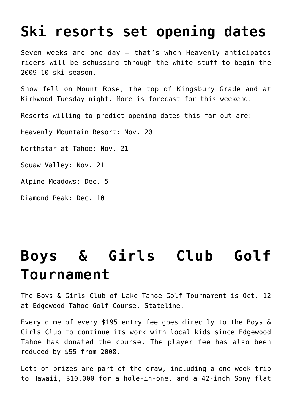### **[Ski resorts set opening dates](https://www.laketahoenews.net/2009/10/ski-resorts-set-opening-dates/)**

Seven weeks and one day — that's when Heavenly anticipates riders will be schussing through the white stuff to begin the 2009-10 ski season.

Snow fell on Mount Rose, the top of Kingsbury Grade and at Kirkwood Tuesday night. More is forecast for this weekend.

Resorts willing to predict opening dates this far out are:

Heavenly Mountain Resort: Nov. 20

Northstar-at-Tahoe: Nov. 21

Squaw Valley: Nov. 21

Alpine Meadows: Dec. 5

Diamond Peak: Dec. 10

## **[Boys & Girls Club Golf](https://www.laketahoenews.net/2009/09/boys-girls-club-golf-tournament-2/) [Tournament](https://www.laketahoenews.net/2009/09/boys-girls-club-golf-tournament-2/)**

The Boys & Girls Club of Lake Tahoe Golf Tournament is Oct. 12 at Edgewood Tahoe Golf Course, Stateline.

Every dime of every \$195 entry fee goes directly to the Boys & Girls Club to continue its work with local kids since Edgewood Tahoe has donated the course. The player fee has also been reduced by \$55 from 2008.

Lots of prizes are part of the draw, including a one-week trip to Hawaii, \$10,000 for a hole-in-one, and a 42-inch Sony flat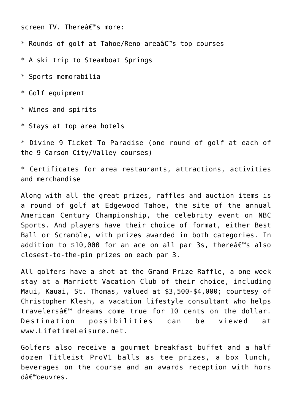screen TV. Thereâ€<sup>™</sup>s more:

\* Rounds of golf at Tahoe/Reno areaâ€<sup>™</sup>s top courses

\* A ski trip to Steamboat Springs

\* Sports memorabilia

\* Golf equipment

\* Wines and spirits

\* Stays at top area hotels

\* Divine 9 Ticket To Paradise (one round of golf at each of the 9 Carson City/Valley courses)

\* Certificates for area restaurants, attractions, activities and merchandise

Along with all the great prizes, raffles and auction items is a round of golf at Edgewood Tahoe, the site of the annual American Century Championship, the celebrity event on NBC Sports. And players have their choice of format, either Best Ball or Scramble, with prizes awarded in both categories. In addition to \$10,000 for an ace on all par 3s, there  $\hat{\theta} \in \mathbb{M}$ 's also closest-to-the-pin prizes on each par 3.

All golfers have a shot at the Grand Prize Raffle, a one week stay at a Marriott Vacation Club of their choice, including Maui, Kauai, St. Thomas, valued at \$3,500-\$4,000; courtesy of Christopher Klesh, a vacation lifestyle consultant who helps travelers $\hat{\sigma} \in \mathbb{M}$  dreams come true for 10 cents on the dollar. Destination possibilities can be viewed at www.LifetimeLeisure.net.

Golfers also receive a gourmet breakfast buffet and a half dozen Titleist ProV1 balls as tee prizes, a box lunch, beverages on the course and an awards reception with hors  $d\hat{\mathsf{a}} \epsilon^{\mathsf{m}}$ oeuvres.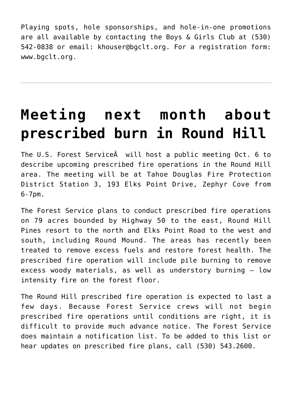Playing spots, hole sponsorships, and hole-in-one promotions are all available by contacting the Boys & Girls Club at (530) 542-0838 or email: khouser@bgclt.org. For a registration form: www.bgclt.org.

## **[Meeting next month about](https://www.laketahoenews.net/2009/09/meeting-next-month-about-prescribed-burn-in-round-hill/) [prescribed burn in Round Hill](https://www.laketahoenews.net/2009/09/meeting-next-month-about-prescribed-burn-in-round-hill/)**

The U.S. Forest Service will host a public meeting Oct. 6 to describe upcoming prescribed fire operations in the Round Hill area. The meeting will be at Tahoe Douglas Fire Protection District Station 3, 193 Elks Point Drive, Zephyr Cove from 6-7pm.

The Forest Service plans to conduct prescribed fire operations on 79 acres bounded by Highway 50 to the east, Round Hill Pines resort to the north and Elks Point Road to the west and south, including Round Mound. The areas has recently been treated to remove excess fuels and restore forest health. The prescribed fire operation will include pile burning to remove excess woody materials, as well as understory burning — low intensity fire on the forest floor.

The Round Hill prescribed fire operation is expected to last a few days. Because Forest Service crews will not begin prescribed fire operations until conditions are right, it is difficult to provide much advance notice. The Forest Service does maintain a notification list. To be added to this list or hear updates on prescribed fire plans, call (530) 543.2600.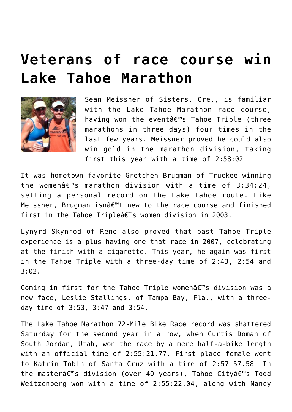### **[Veterans of race course win](https://www.laketahoenews.net/2009/09/veterans-of-race-course-win-lake-tahoe-marathon/) [Lake Tahoe Marathon](https://www.laketahoenews.net/2009/09/veterans-of-race-course-win-lake-tahoe-marathon/)**



Sean Meissner of Sisters, Ore., is familiar with the Lake Tahoe Marathon race course, having won the eventâ€<sup>™</sup>s Tahoe Triple (three marathons in three days) four times in the last few years. Meissner proved he could also win gold in the marathon division, taking first this year with a time of 2:58:02.

It was hometown favorite Gretchen Brugman of Truckee winning the women $\hat{a} \in \mathbb{M}$ s marathon division with a time of 3:34:24, setting a personal record on the Lake Tahoe route. Like Meissner, Brugman isn $\hat{\mathbf{a}} \in \mathbb{M}$  new to the race course and finished first in the Tahoe Triple $\hat{a} \in \mathbb{R}^m$ s women division in 2003.

Lynyrd Skynrod of Reno also proved that past Tahoe Triple experience is a plus having one that race in 2007, celebrating at the finish with a cigarette. This year, he again was first in the Tahoe Triple with a three-day time of 2:43, 2:54 and 3:02.

Coming in first for the Tahoe Triple women $\hat{a} \in \mathbb{R}^m$ s division was a new face, Leslie Stallings, of Tampa Bay, Fla., with a threeday time of 3:53, 3:47 and 3:54.

The Lake Tahoe Marathon 72-Mile Bike Race record was shattered Saturday for the second year in a row, when Curtis Doman of South Jordan, Utah, won the race by a mere half-a-bike length with an official time of 2:55:21.77. First place female went to Katrin Tobin of Santa Cruz with a time of 2:57:57.58. In the masterâ€<sup>™</sup>s division (over 40 years), Tahoe Cityâ€<sup>™</sup>s Todd Weitzenberg won with a time of 2:55:22.04, along with Nancy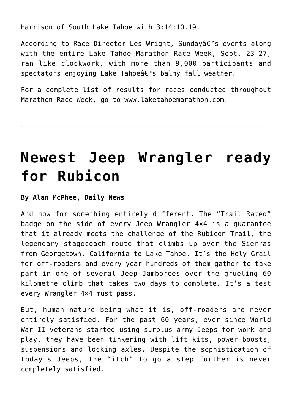Harrison of South Lake Tahoe with 3:14:10.19.

According to Race Director Les Wright, Sundayâ€<sup>™</sup>s events along with the entire Lake Tahoe Marathon Race Week, Sept. 23-27, ran like clockwork, with more than 9,000 participants and spectators enjoying Lake Tahoeâ€<sup>™</sup>s balmy fall weather.

For a complete list of results for races conducted throughout Marathon Race Week, go to www.laketahoemarathon.com.

### **[Newest Jeep Wrangler ready](https://www.laketahoenews.net/2009/09/newest-jeep-wranger-ready-for-rubicon/) [for Rubicon](https://www.laketahoenews.net/2009/09/newest-jeep-wranger-ready-for-rubicon/)**

#### **By Alan McPhee, Daily News**

And now for something entirely different. The "Trail Rated" badge on the side of every Jeep Wrangler 4×4 is a guarantee that it already meets the challenge of the Rubicon Trail, the legendary stagecoach route that climbs up over the Sierras from Georgetown, California to Lake Tahoe. It's the Holy Grail for off-roaders and every year hundreds of them gather to take part in one of several Jeep Jamborees over the grueling 60 kilometre climb that takes two days to complete. It's a test every Wrangler 4×4 must pass.

But, human nature being what it is, off-roaders are never entirely satisfied. For the past 60 years, ever since World War II veterans started using surplus army Jeeps for work and play, they have been tinkering with lift kits, power boosts, suspensions and locking axles. Despite the sophistication of today's Jeeps, the "itch" to go a step further is never completely satisfied.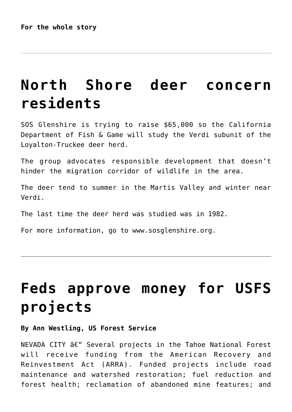### **[North Shore deer concern](https://www.laketahoenews.net/2009/09/north-shore-deer-concern-residents/) [residents](https://www.laketahoenews.net/2009/09/north-shore-deer-concern-residents/)**

SOS Glenshire is trying to raise \$65,000 so the California Department of Fish & Game will study the Verdi subunit of the Loyalton-Truckee deer herd.

The group advocates responsible development that doesn't hinder the migration corridor of wildlife in the area.

The deer tend to summer in the Martis Valley and winter near Verdi.

The last time the deer herd was studied was in 1982.

For more information, go to www.sosglenshire.org.

### **[Feds approve money for USFS](https://www.laketahoenews.net/2009/09/feds-approve-money-for-usfs-projects/) [projects](https://www.laketahoenews.net/2009/09/feds-approve-money-for-usfs-projects/)**

#### **By Ann Westling, US Forest Service**

 $NEVADA$  CITY  $\hat{a}\epsilon$ " Several projects in the Tahoe National Forest will receive funding from the American Recovery and Reinvestment Act (ARRA). Funded projects include road maintenance and watershed restoration; fuel reduction and forest health; reclamation of abandoned mine features; and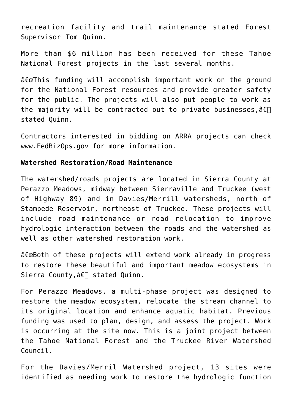recreation facility and trail maintenance stated Forest Supervisor Tom Quinn.

More than \$6 million has been received for these Tahoe National Forest projects in the last several months.

 $\hat{\sigma} \in \mathbb{C}$ This funding will accomplish important work on the ground for the National Forest resources and provide greater safety for the public. The projects will also put people to work as the majority will be contracted out to private businesses,  $\hat{a} \in \Box$ stated Quinn.

Contractors interested in bidding on ARRA projects can check www.FedBizOps.gov for more information.

#### **Watershed Restoration/Road Maintenance**

The watershed/roads projects are located in Sierra County at Perazzo Meadows, midway between Sierraville and Truckee (west of Highway 89) and in Davies/Merrill watersheds, north of Stampede Reservoir, northeast of Truckee. These projects will include road maintenance or road relocation to improve hydrologic interaction between the roads and the watershed as well as other watershed restoration work.

 $\hat{a} \in \mathbb{C}$  extend work already in progress to restore these beautiful and important meadow ecosystems in Sierra County,  $\hat{a} \in \square$  stated Quinn.

For Perazzo Meadows, a multi-phase project was designed to restore the meadow ecosystem, relocate the stream channel to its original location and enhance aquatic habitat. Previous funding was used to plan, design, and assess the project. Work is occurring at the site now. This is a joint project between the Tahoe National Forest and the Truckee River Watershed Council.

For the Davies/Merril Watershed project, 13 sites were identified as needing work to restore the hydrologic function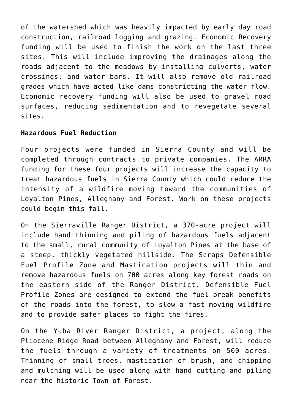of the watershed which was heavily impacted by early day road construction, railroad logging and grazing. Economic Recovery funding will be used to finish the work on the last three sites. This will include improving the drainages along the roads adjacent to the meadows by installing culverts, water crossings, and water bars. It will also remove old railroad grades which have acted like dams constricting the water flow. Economic recovery funding will also be used to gravel road surfaces, reducing sedimentation and to revegetate several sites.

#### **Hazardous Fuel Reduction**

Four projects were funded in Sierra County and will be completed through contracts to private companies. The ARRA funding for these four projects will increase the capacity to treat hazardous fuels in Sierra County which could reduce the intensity of a wildfire moving toward the communities of Loyalton Pines, Alleghany and Forest. Work on these projects could begin this fall.

On the Sierraville Ranger District, a 370-acre project will include hand thinning and piling of hazardous fuels adjacent to the small, rural community of Loyalton Pines at the base of a steep, thickly vegetated hillside. The Scraps Defensible Fuel Profile Zone and Mastication projects will thin and remove hazardous fuels on 700 acres along key forest roads on the eastern side of the Ranger District. Defensible Fuel Profile Zones are designed to extend the fuel break benefits of the roads into the forest, to slow a fast moving wildfire and to provide safer places to fight the fires.

On the Yuba River Ranger District, a project, along the Pliocene Ridge Road between Alleghany and Forest, will reduce the fuels through a variety of treatments on 500 acres. Thinning of small trees, mastication of brush, and chipping and mulching will be used along with hand cutting and piling near the historic Town of Forest.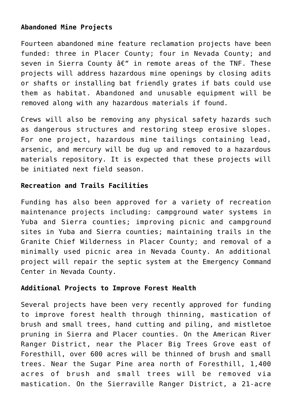### **Abandoned Mine Projects**

Fourteen abandoned mine feature reclamation projects have been funded: three in Placer County; four in Nevada County; and seven in Sierra County  $\hat{a}\in$ " in remote areas of the TNF. These projects will address hazardous mine openings by closing adits or shafts or installing bat friendly grates if bats could use them as habitat. Abandoned and unusable equipment will be removed along with any hazardous materials if found.

Crews will also be removing any physical safety hazards such as dangerous structures and restoring steep erosive slopes. For one project, hazardous mine tailings containing lead, arsenic, and mercury will be dug up and removed to a hazardous materials repository. It is expected that these projects will be initiated next field season.

#### **Recreation and Trails Facilities**

Funding has also been approved for a variety of recreation maintenance projects including: campground water systems in Yuba and Sierra counties; improving picnic and campground sites in Yuba and Sierra counties; maintaining trails in the Granite Chief Wilderness in Placer County; and removal of a minimally used picnic area in Nevada County. An additional project will repair the septic system at the Emergency Command Center in Nevada County.

#### **Additional Projects to Improve Forest Health**

Several projects have been very recently approved for funding to improve forest health through thinning, mastication of brush and small trees, hand cutting and piling, and mistletoe pruning in Sierra and Placer counties. On the American River Ranger District, near the Placer Big Trees Grove east of Foresthill, over 600 acres will be thinned of brush and small trees. Near the Sugar Pine area north of Foresthill, 1,400 acres of brush and small trees will be removed via mastication. On the Sierraville Ranger District, a 21-acre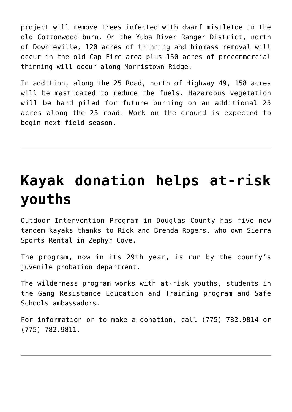project will remove trees infected with dwarf mistletoe in the old Cottonwood burn. On the Yuba River Ranger District, north of Downieville, 120 acres of thinning and biomass removal will occur in the old Cap Fire area plus 150 acres of precommercial thinning will occur along Morristown Ridge.

In addition, along the 25 Road, north of Highway 49, 158 acres will be masticated to reduce the fuels. Hazardous vegetation will be hand piled for future burning on an additional 25 acres along the 25 road. Work on the ground is expected to begin next field season.

# **[Kayak donation helps at-risk](https://www.laketahoenews.net/2009/09/kayak-donation-helps-at-risk-youths/) [youths](https://www.laketahoenews.net/2009/09/kayak-donation-helps-at-risk-youths/)**

Outdoor Intervention Program in Douglas County has five new tandem kayaks thanks to Rick and Brenda Rogers, who own Sierra Sports Rental in Zephyr Cove.

The program, now in its 29th year, is run by the county's juvenile probation department.

The wilderness program works with at-risk youths, students in the Gang Resistance Education and Training program and Safe Schools ambassadors.

For information or to make a donation, call (775) 782.9814 or (775) 782.9811.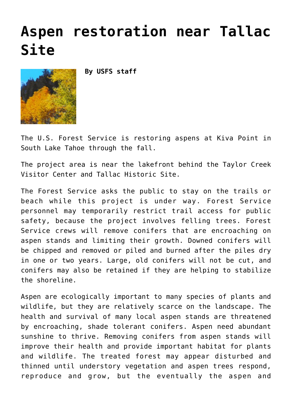### **[Aspen restoration near Tallac](https://www.laketahoenews.net/2009/09/aspen-restoration-near-tallac-site/) [Site](https://www.laketahoenews.net/2009/09/aspen-restoration-near-tallac-site/)**

**By USFS staff**



The U.S. Forest Service is restoring aspens at Kiva Point in South Lake Tahoe through the fall.

The project area is near the lakefront behind the Taylor Creek Visitor Center and Tallac Historic Site.

The Forest Service asks the public to stay on the trails or beach while this project is under way. Forest Service personnel may temporarily restrict trail access for public safety, because the project involves felling trees. Forest Service crews will remove conifers that are encroaching on aspen stands and limiting their growth. Downed conifers will be chipped and removed or piled and burned after the piles dry in one or two years. Large, old conifers will not be cut, and conifers may also be retained if they are helping to stabilize the shoreline.

Aspen are ecologically important to many species of plants and wildlife, but they are relatively scarce on the landscape. The health and survival of many local aspen stands are threatened by encroaching, shade tolerant conifers. Aspen need abundant sunshine to thrive. Removing conifers from aspen stands will improve their health and provide important habitat for plants and wildlife. The treated forest may appear disturbed and thinned until understory vegetation and aspen trees respond, reproduce and grow, but the eventually the aspen and